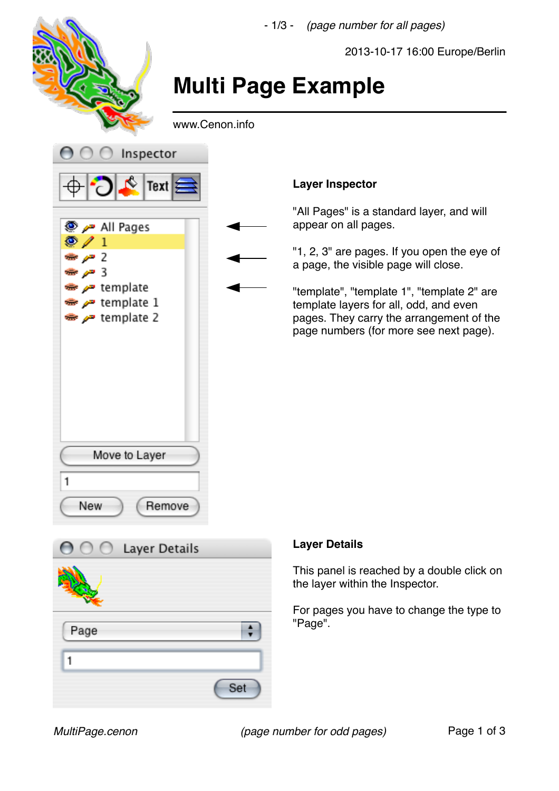

Set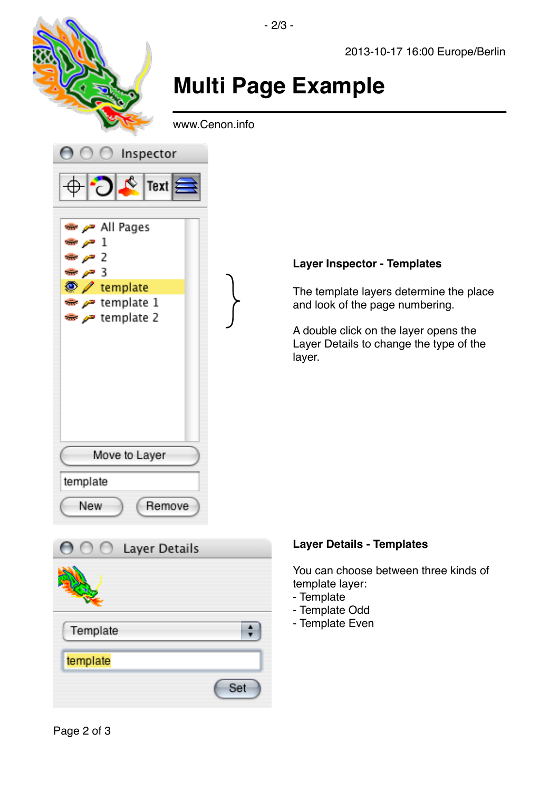## **Multi Page Example**

- 2/3 -

www.Cenon.info



## **Layer Inspector - Templates**

The template layers determine the place and look of the page numbering.

A double click on the layer opens the Layer Details to change the type of the layer.



## **Layer Details - Templates**

You can choose between three kinds of template layer:

- Template
- Template Odd
- Template Even